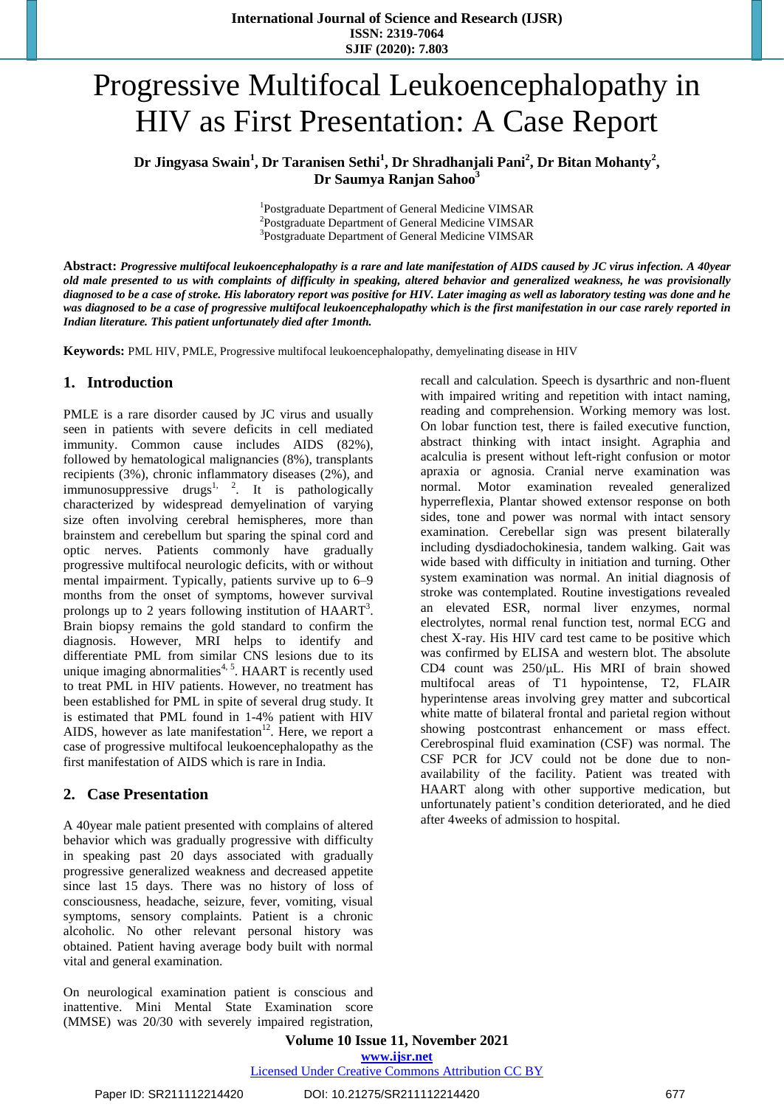# Progressive Multifocal Leukoencephalopathy in HIV as First Presentation: A Case Report

**Dr Jingyasa Swain<sup>1</sup> , Dr Taranisen Sethi<sup>1</sup> , Dr Shradhanjali Pani<sup>2</sup> , Dr Bitan Mohanty<sup>2</sup> , Dr Saumya Ranjan Sahoo<sup>3</sup>**

> <sup>1</sup>Postgraduate Department of General Medicine VIMSAR <sup>2</sup>Postgraduate Department of General Medicine VIMSAR <sup>3</sup>Postgraduate Department of General Medicine VIMSAR

Abstract: Progressive multifocal leukoencephalopathy is a rare and late manifestation of AIDS caused by JC virus infection. A 40year old male presented to us with complaints of difficulty in speaking, altered behavior and generalized weakness, he was provisionally diagnosed to be a case of stroke. His laboratory report was positive for HIV. Later imaging as well as laboratory testing was done and he was diagnosed to be a case of progressive multifocal leukoencephalopathy which is the first manifestation in our case rarely reported in *Indian literature. This patient unfortunately died after 1month.*

**Keywords:** PML HIV, PMLE, Progressive multifocal leukoencephalopathy, demyelinating disease in HIV

#### **1. Introduction**

PMLE is a rare disorder caused by JC virus and usually seen in patients with severe deficits in cell mediated immunity. Common cause includes AIDS (82%), followed by hematological malignancies (8%), transplants recipients (3%), chronic inflammatory diseases (2%), and immunosuppressive drugs<sup>1, 2</sup>. It is pathologically characterized by widespread demyelination of varying size often involving cerebral hemispheres, more than brainstem and cerebellum but sparing the spinal cord and optic nerves. Patients commonly have gradually progressive multifocal neurologic deficits, with or without mental impairment. Typically, patients survive up to 6–9 months from the onset of symptoms, however survival prolongs up to 2 years following institution of  $HAART<sup>3</sup>$ . Brain biopsy remains the gold standard to confirm the diagnosis. However, MRI helps to identify and differentiate PML from similar CNS lesions due to its unique imaging abnormalities<sup>4, 5</sup>. HAART is recently used to treat PML in HIV patients. However, no treatment has been established for PML in spite of several drug study. It is estimated that PML found in 1-4% patient with HIV AIDS, however as late manifestation $12$ . Here, we report a case of progressive multifocal leukoencephalopathy as the first manifestation of AIDS which is rare in India.

#### **2. Case Presentation**

A 40year male patient presented with complains of altered behavior which was gradually progressive with difficulty in speaking past 20 days associated with gradually progressive generalized weakness and decreased appetite since last 15 days. There was no history of loss of consciousness, headache, seizure, fever, vomiting, visual symptoms, sensory complaints. Patient is a chronic alcoholic. No other relevant personal history was obtained. Patient having average body built with normal vital and general examination.

On neurological examination patient is conscious and inattentive. Mini Mental State Examination score (MMSE) was 20/30 with severely impaired registration, recall and calculation. Speech is dysarthric and non-fluent with impaired writing and repetition with intact naming, reading and comprehension. Working memory was lost. On lobar function test, there is failed executive function, abstract thinking with intact insight. Agraphia and acalculia is present without left-right confusion or motor apraxia or agnosia. Cranial nerve examination was normal. Motor examination revealed generalized hyperreflexia, Plantar showed extensor response on both sides, tone and power was normal with intact sensory examination. Cerebellar sign was present bilaterally including dysdiadochokinesia, tandem walking. Gait was wide based with difficulty in initiation and turning. Other system examination was normal. An initial diagnosis of stroke was contemplated. Routine investigations revealed an elevated ESR, normal liver enzymes, normal electrolytes, normal renal function test, normal ECG and chest X-ray. His HIV card test came to be positive which was confirmed by ELISA and western blot. The absolute CD4 count was 250/μL. His MRI of brain showed multifocal areas of T1 hypointense, T2, FLAIR hyperintense areas involving grey matter and subcortical white matte of bilateral frontal and parietal region without showing postcontrast enhancement or mass effect. Cerebrospinal fluid examination (CSF) was normal. The CSF PCR for JCV could not be done due to nonavailability of the facility. Patient was treated with HAART along with other supportive medication, but unfortunately patient's condition deteriorated, and he died after 4weeks of admission to hospital.

**Volume 10 Issue 11, November 2021 www.ijsr.net** Licensed Under Creative Commons Attribution CC BY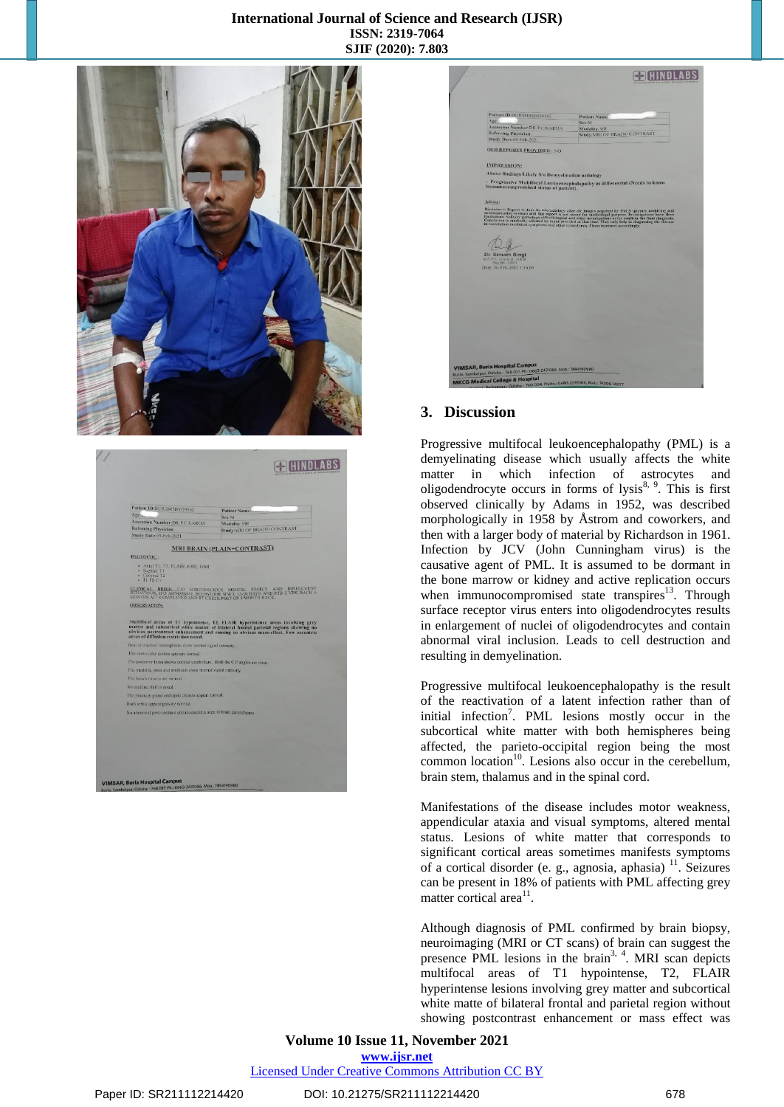#### **International Journal of Science and Research (IJSR) ISSN: 2319-7064 SJIF (2020): 7.803**



| Agela<br><b>Accession Number: DR.P.C KARUA</b><br><b>Referring Physician</b><br>Study Date 05-Feb-2021<br>PROTOCOL:<br>· Sagittal T1 | <b>MRI BRAIN (PLAIN+CONTRAST)</b>                            | Sex M<br>Modality:MR<br>Study:MRI OF BRAIN+CONTRAST                                                                                                                                |
|--------------------------------------------------------------------------------------------------------------------------------------|--------------------------------------------------------------|------------------------------------------------------------------------------------------------------------------------------------------------------------------------------------|
|                                                                                                                                      |                                                              |                                                                                                                                                                                    |
|                                                                                                                                      |                                                              |                                                                                                                                                                                    |
|                                                                                                                                      |                                                              |                                                                                                                                                                                    |
|                                                                                                                                      |                                                              |                                                                                                                                                                                    |
|                                                                                                                                      |                                                              |                                                                                                                                                                                    |
|                                                                                                                                      |                                                              |                                                                                                                                                                                    |
| · Coronal T2<br>$-$ TI FS $C+$                                                                                                       | · Axial T1, T2, FLAIR, GRE, DWI                              |                                                                                                                                                                                    |
|                                                                                                                                      |                                                              | CLINICAL BRIEF: CO SUBCONSCIOUS MENTAL STATUS AND IRRELEVENT HO ARNOLE BEHAVIOUR SINCE 15.20 DAYS AND PTB 2 YRS BACK 6<br>MONTHS ATT COMPLETED AND RT CHEEK POST OP. I MONTH BACK. |
| <b>OBSERVATION:</b>                                                                                                                  |                                                              |                                                                                                                                                                                    |
| arcas of diffusion restriction noted.                                                                                                |                                                              | matter and subcortical white matter of bilateral frontal parietal regions showing no<br>obvious postcontrast enhancement and causing no obvious mass-effect. Few eccentric         |
|                                                                                                                                      | Rest of cerebral hemispheres show normal signal intensity,   |                                                                                                                                                                                    |
| The ventricular system appears normal.                                                                                               |                                                              |                                                                                                                                                                                    |
|                                                                                                                                      |                                                              | The posterior fossa shows normal cerebellum. Both the C.P angles are clear.                                                                                                        |
|                                                                                                                                      | The medulla, pons and midbrain show normal signal intensity. |                                                                                                                                                                                    |
| The basal eisterns are normal.                                                                                                       |                                                              |                                                                                                                                                                                    |
| No midline shift is noted.                                                                                                           |                                                              |                                                                                                                                                                                    |
|                                                                                                                                      | The pitutury gland and optic chiasm appear normal,           |                                                                                                                                                                                    |
| Both orbits appear grossly normal.                                                                                                   |                                                              |                                                                                                                                                                                    |
|                                                                                                                                      |                                                              | No abnormal post-contrast enhancement is seen in brain parenchyma.                                                                                                                 |

| <b>Patient Name</b><br>Modality: MR<br>Study:MRI OF BRAIN+CONTRAST<br>Above findings Likely S/0 Demyclination actiology<br>- Progressive Multifocal Leukoencephalopathy as differential (Needs to know                                                                                                                             |
|------------------------------------------------------------------------------------------------------------------------------------------------------------------------------------------------------------------------------------------------------------------------------------------------------------------------------------|
|                                                                                                                                                                                                                                                                                                                                    |
|                                                                                                                                                                                                                                                                                                                                    |
|                                                                                                                                                                                                                                                                                                                                    |
|                                                                                                                                                                                                                                                                                                                                    |
|                                                                                                                                                                                                                                                                                                                                    |
|                                                                                                                                                                                                                                                                                                                                    |
|                                                                                                                                                                                                                                                                                                                                    |
|                                                                                                                                                                                                                                                                                                                                    |
|                                                                                                                                                                                                                                                                                                                                    |
|                                                                                                                                                                                                                                                                                                                                    |
| Disclature: Report is done by relevations of the the funger accuracy for PACS (picture archiving and<br>communication system) and this report is not meant for modicologal partner. Investigations have their<br>fundations. Softlar<br>in correlation to clinical symptoms and other related tests. Please interpret accordingly. |
|                                                                                                                                                                                                                                                                                                                                    |
|                                                                                                                                                                                                                                                                                                                                    |
|                                                                                                                                                                                                                                                                                                                                    |
|                                                                                                                                                                                                                                                                                                                                    |
|                                                                                                                                                                                                                                                                                                                                    |
|                                                                                                                                                                                                                                                                                                                                    |
|                                                                                                                                                                                                                                                                                                                                    |
|                                                                                                                                                                                                                                                                                                                                    |
|                                                                                                                                                                                                                                                                                                                                    |
|                                                                                                                                                                                                                                                                                                                                    |
|                                                                                                                                                                                                                                                                                                                                    |
|                                                                                                                                                                                                                                                                                                                                    |
|                                                                                                                                                                                                                                                                                                                                    |
|                                                                                                                                                                                                                                                                                                                                    |
|                                                                                                                                                                                                                                                                                                                                    |
|                                                                                                                                                                                                                                                                                                                                    |
|                                                                                                                                                                                                                                                                                                                                    |

#### **3. Discussion**

Progressive multifocal leukoencephalopathy (PML) is a demyelinating disease which usually affects the white matter in which infection of astrocytes and oligodendrocyte occurs in forms of lysis $8, 9$ . This is first observed clinically by Adams in 1952, was described morphologically in 1958 by Åstrom and coworkers, and then with a larger body of material by Richardson in 1961. Infection by JCV (John Cunningham virus) is the causative agent of PML. It is assumed to be dormant in the bone marrow or kidney and active replication occurs when immunocompromised state transpires<sup>13</sup>. Through surface receptor virus enters into oligodendrocytes results in enlargement of nuclei of oligodendrocytes and contain abnormal viral inclusion. Leads to cell destruction and resulting in demyelination.

Progressive multifocal leukoencephalopathy is the result of the reactivation of a latent infection rather than of initial infection<sup>7</sup>. PML lesions mostly occur in the subcortical white matter with both hemispheres being affected, the parieto-occipital region being the most common location<sup>10</sup>. Lesions also occur in the cerebellum, brain stem, thalamus and in the spinal cord.

Manifestations of the disease includes motor weakness, appendicular ataxia and visual symptoms, altered mental status. Lesions of white matter that corresponds to significant cortical areas sometimes manifests symptoms of a cortical disorder (e. g., agnosia, aphasia)<sup>11</sup>. Seizures can be present in 18% of patients with PML affecting grey matter cortical area<sup>11</sup>.

Although diagnosis of PML confirmed by brain biopsy, neuroimaging (MRI or CT scans) of brain can suggest the presence PML lesions in the brain<sup>3, 4</sup>. MRI scan depicts multifocal areas of T1 hypointense, T2, FLAIR hyperintense lesions involving grey matter and subcortical white matte of bilateral frontal and parietal region without showing postcontrast enhancement or mass effect was

## **Volume 10 Issue 11, November 2021 www.ijsr.net**

Licensed Under Creative Commons Attribution CC BY